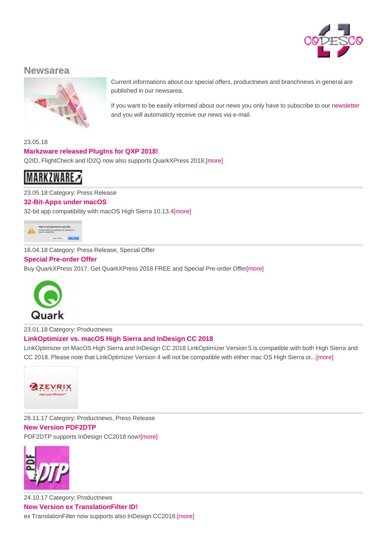

## **Newsarea**



Current informations about our special offers, productnews and branchnews in general are published in our newsarea.

If you want to be easily informed about our news you only have to subscribe to our newsletter and you will automaticly receive our news via e-mail.

23.05.18

## **Markzware released PlugIns for QXP 2018!**

Q2ID, FlightCheck and ID2Q now also supports QuarkXPress 2018.[more]

**MARKZWARE** 

23.05.18 Category: Press Release

**32-Bit-Apps under macOS** 32-bit app [compatibilit](http://www.codesco.com/en/no_cache/news/news-detail/article//markzware-re.html)y with macOS High Sierra 10.13.4[more]



16.04.18 Category: Press Release, Special Offer

## **Special Pre-order Offer**

Buy [QuarkXPress](http://www.codesco.com/en/no_cache/news/news-detail/article//32-bit-apps-1.html) 2017, Get QuarkXPress 2018 FREE and Special Pre-order Offer[more]



23.01.18 Category: Productnews

## **[LinkOptimizer](http://www.codesco.com/en/no_cache/news/news-detail/article//sonderaktion.html) vs. macOS High Sierra and InDesign CC 2018**

LinkOptimizer on MacOS High Sierra and InDesign CC 2018 LinkOptimizer Version 5 is compatible with both High Sierra and CC 2018. Please note that LinkOptimizer Version 4 will not be compatible with either mac OS High Sierra or...[more]



28.11.17 Category: Productnews, Press Release **New Version PDF2DTP** [PDF2DTP](http://www.codesco.com/en/no_cache/news/news-detail/article//link-optimiz.html) supports InDesign CC2018 now![more]



24.10.17 Category: Productnews **New Version ex TranslationFilter ID!** ex [TranslationFilt](http://www.codesco.com/en/no_cache/news/news-detail/article//neue-version-23.html)er now supports also InDesign CC2018.[more]